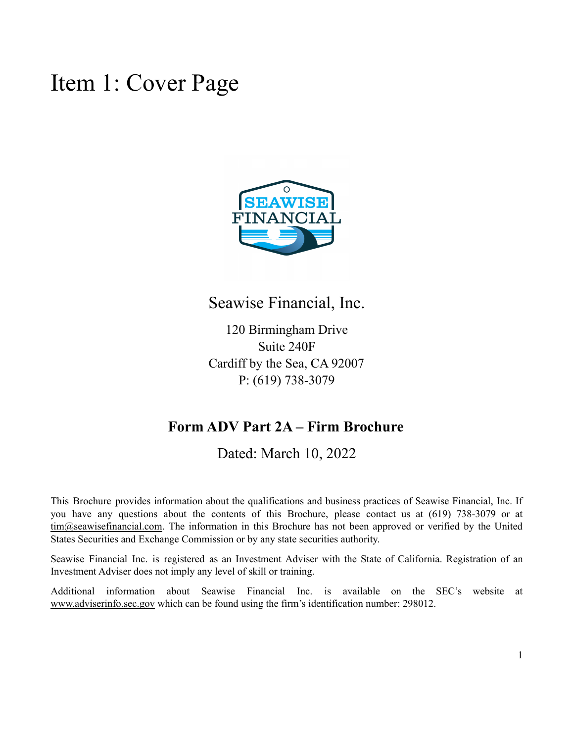### <span id="page-0-0"></span>Item 1: Cover Page



### Seawise Financial, Inc.

120 Birmingham Drive Suite 240F Cardiff by the Sea, CA 92007 P: (619) 738-3079

### **Form ADV Part 2A – Firm Brochure**

Dated: March 10, 2022

This Brochure provides information about the qualifications and business practices of Seawise Financial, Inc. If you have any questions about the contents of this Brochure, please contact us at (619) 738-3079 or at [tim@seawisefinancial.com](mailto:tim@seawisefinancial.com). The information in this Brochure has not been approved or verified by the United States Securities and Exchange Commission or by any state securities authority.

Seawise Financial Inc. is registered as an Investment Adviser with the State of California. Registration of an Investment Adviser does not imply any level of skill or training.

Additional information about Seawise Financial Inc. is available on the SEC's website at [www.adviserinfo.sec.gov](http://www.adviserinfo.sec.gov) which can be found using the firm's identification number: 298012.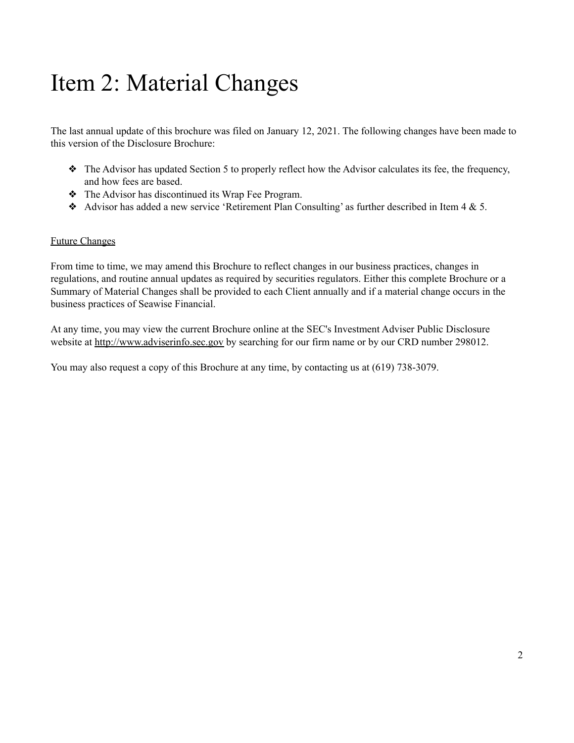### <span id="page-1-0"></span>Item 2: Material Changes

The last annual update of this brochure was filed on January 12, 2021. The following changes have been made to this version of the Disclosure Brochure:

- ❖ The Advisor has updated Section 5 to properly reflect how the Advisor calculates its fee, the frequency, and how fees are based.
- ❖ The Advisor has discontinued its Wrap Fee Program.
- Advisor has added a new service 'Retirement Plan Consulting' as further described in Item  $4 \& 5$ .

#### Future Changes

From time to time, we may amend this Brochure to reflect changes in our business practices, changes in regulations, and routine annual updates as required by securities regulators. Either this complete Brochure or a Summary of Material Changes shall be provided to each Client annually and if a material change occurs in the business practices of Seawise Financial.

At any time, you may view the current Brochure online at the SEC's Investment Adviser Public Disclosure website at [http://www.adviserinfo.sec.gov](http://www.adviserinfo.sec.gov/) by searching for our firm name or by our CRD number 298012.

You may also request a copy of this Brochure at any time, by contacting us at (619) 738-3079.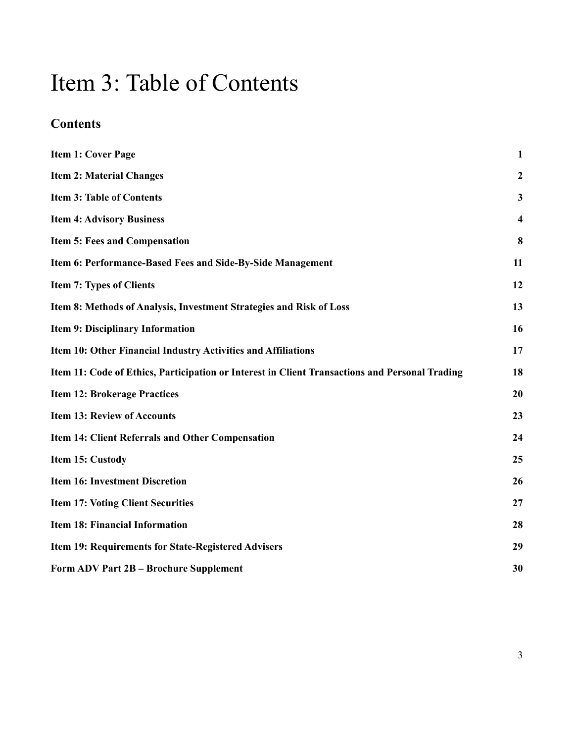### <span id="page-2-0"></span>Item 3: Table of Contents

### **Contents**

| <b>Item 1: Cover Page</b>                                                                      | $\mathbf{1}$            |
|------------------------------------------------------------------------------------------------|-------------------------|
| <b>Item 2: Material Changes</b>                                                                | $\boldsymbol{2}$        |
| <b>Item 3: Table of Contents</b>                                                               | $\mathbf{3}$            |
| <b>Item 4: Advisory Business</b>                                                               | $\overline{\mathbf{4}}$ |
| <b>Item 5: Fees and Compensation</b>                                                           | 8                       |
| Item 6: Performance-Based Fees and Side-By-Side Management                                     | 11                      |
| <b>Item 7: Types of Clients</b>                                                                | 12                      |
| Item 8: Methods of Analysis, Investment Strategies and Risk of Loss                            | 13                      |
| <b>Item 9: Disciplinary Information</b>                                                        | 16                      |
| Item 10: Other Financial Industry Activities and Affiliations                                  | 17                      |
| Item 11: Code of Ethics, Participation or Interest in Client Transactions and Personal Trading | 18                      |
| <b>Item 12: Brokerage Practices</b>                                                            | 20                      |
| <b>Item 13: Review of Accounts</b>                                                             | 23                      |
| <b>Item 14: Client Referrals and Other Compensation</b>                                        | 24                      |
| Item 15: Custody                                                                               | 25                      |
| <b>Item 16: Investment Discretion</b>                                                          | 26                      |
| <b>Item 17: Voting Client Securities</b>                                                       | 27                      |
| <b>Item 18: Financial Information</b>                                                          | 28                      |
| Item 19: Requirements for State-Registered Advisers                                            | 29                      |
| <b>Form ADV Part 2B - Brochure Supplement</b>                                                  | 30                      |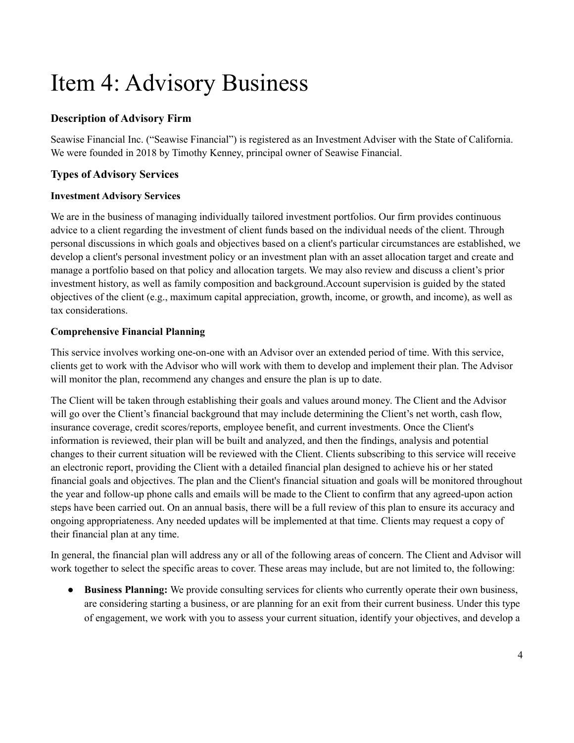## <span id="page-3-0"></span>Item 4: Advisory Business

#### **Description of Advisory Firm**

Seawise Financial Inc. ("Seawise Financial") is registered as an Investment Adviser with the State of California. We were founded in 2018 by Timothy Kenney, principal owner of Seawise Financial.

#### **Types of Advisory Services**

#### **Investment Advisory Services**

We are in the business of managing individually tailored investment portfolios. Our firm provides continuous advice to a client regarding the investment of client funds based on the individual needs of the client. Through personal discussions in which goals and objectives based on a client's particular circumstances are established, we develop a client's personal investment policy or an investment plan with an asset allocation target and create and manage a portfolio based on that policy and allocation targets. We may also review and discuss a client's prior investment history, as well as family composition and background.Account supervision is guided by the stated objectives of the client (e.g., maximum capital appreciation, growth, income, or growth, and income), as well as tax considerations.

#### **Comprehensive Financial Planning**

This service involves working one-on-one with an Advisor over an extended period of time. With this service, clients get to work with the Advisor who will work with them to develop and implement their plan. The Advisor will monitor the plan, recommend any changes and ensure the plan is up to date.

The Client will be taken through establishing their goals and values around money. The Client and the Advisor will go over the Client's financial background that may include determining the Client's net worth, cash flow, insurance coverage, credit scores/reports, employee benefit, and current investments. Once the Client's information is reviewed, their plan will be built and analyzed, and then the findings, analysis and potential changes to their current situation will be reviewed with the Client. Clients subscribing to this service will receive an electronic report, providing the Client with a detailed financial plan designed to achieve his or her stated financial goals and objectives. The plan and the Client's financial situation and goals will be monitored throughout the year and follow-up phone calls and emails will be made to the Client to confirm that any agreed-upon action steps have been carried out. On an annual basis, there will be a full review of this plan to ensure its accuracy and ongoing appropriateness. Any needed updates will be implemented at that time. Clients may request a copy of their financial plan at any time.

In general, the financial plan will address any or all of the following areas of concern. The Client and Advisor will work together to select the specific areas to cover. These areas may include, but are not limited to, the following:

● **Business Planning:** We provide consulting services for clients who currently operate their own business, are considering starting a business, or are planning for an exit from their current business. Under this type of engagement, we work with you to assess your current situation, identify your objectives, and develop a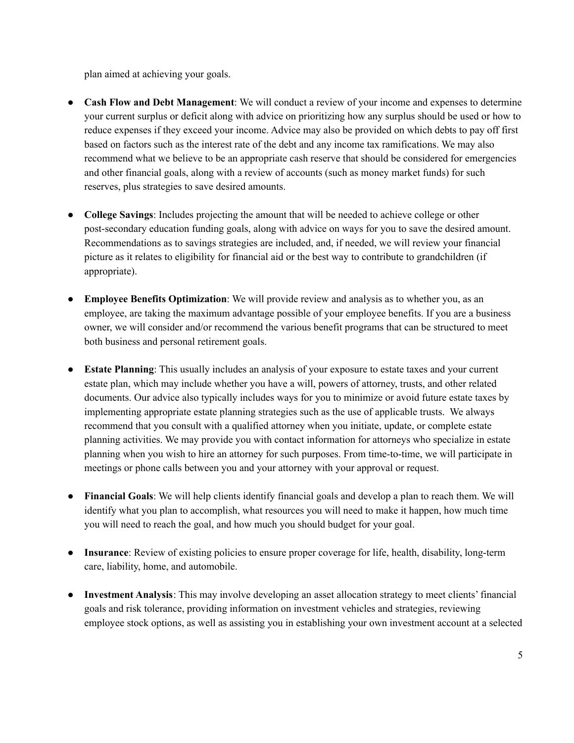plan aimed at achieving your goals.

- **Cash Flow and Debt Management**: We will conduct a review of your income and expenses to determine your current surplus or deficit along with advice on prioritizing how any surplus should be used or how to reduce expenses if they exceed your income. Advice may also be provided on which debts to pay off first based on factors such as the interest rate of the debt and any income tax ramifications. We may also recommend what we believe to be an appropriate cash reserve that should be considered for emergencies and other financial goals, along with a review of accounts (such as money market funds) for such reserves, plus strategies to save desired amounts.
- **College Savings**: Includes projecting the amount that will be needed to achieve college or other post-secondary education funding goals, along with advice on ways for you to save the desired amount. Recommendations as to savings strategies are included, and, if needed, we will review your financial picture as it relates to eligibility for financial aid or the best way to contribute to grandchildren (if appropriate).
- **Employee Benefits Optimization**: We will provide review and analysis as to whether you, as an employee, are taking the maximum advantage possible of your employee benefits. If you are a business owner, we will consider and/or recommend the various benefit programs that can be structured to meet both business and personal retirement goals.
- **Estate Planning**: This usually includes an analysis of your exposure to estate taxes and your current estate plan, which may include whether you have a will, powers of attorney, trusts, and other related documents. Our advice also typically includes ways for you to minimize or avoid future estate taxes by implementing appropriate estate planning strategies such as the use of applicable trusts. We always recommend that you consult with a qualified attorney when you initiate, update, or complete estate planning activities. We may provide you with contact information for attorneys who specialize in estate planning when you wish to hire an attorney for such purposes. From time-to-time, we will participate in meetings or phone calls between you and your attorney with your approval or request.
- **Financial Goals**: We will help clients identify financial goals and develop a plan to reach them. We will identify what you plan to accomplish, what resources you will need to make it happen, how much time you will need to reach the goal, and how much you should budget for your goal.
- **Insurance**: Review of existing policies to ensure proper coverage for life, health, disability, long-term care, liability, home, and automobile.
- **Investment Analysis**: This may involve developing an asset allocation strategy to meet clients' financial goals and risk tolerance, providing information on investment vehicles and strategies, reviewing employee stock options, as well as assisting you in establishing your own investment account at a selected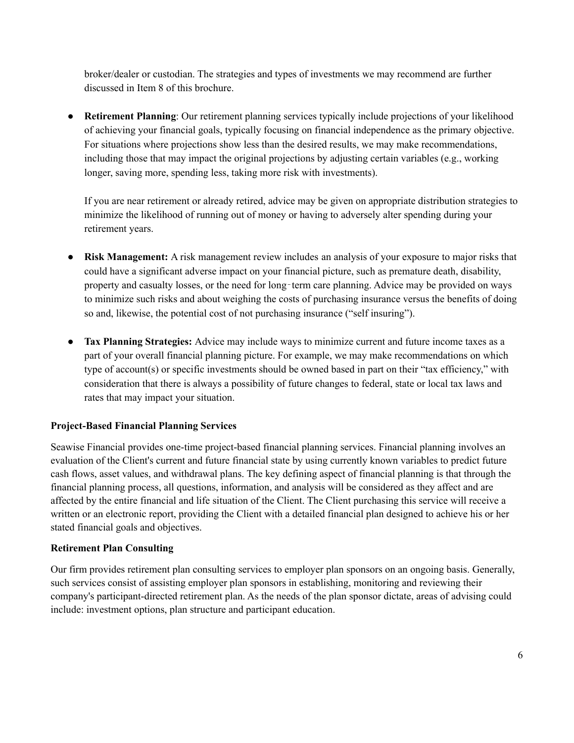broker/dealer or custodian. The strategies and types of investments we may recommend are further discussed in Item 8 of this brochure.

● **Retirement Planning**: Our retirement planning services typically include projections of your likelihood of achieving your financial goals, typically focusing on financial independence as the primary objective. For situations where projections show less than the desired results, we may make recommendations, including those that may impact the original projections by adjusting certain variables (e.g., working longer, saving more, spending less, taking more risk with investments).

If you are near retirement or already retired, advice may be given on appropriate distribution strategies to minimize the likelihood of running out of money or having to adversely alter spending during your retirement years.

- **Risk Management:** A risk management review includes an analysis of your exposure to major risks that could have a significant adverse impact on your financial picture, such as premature death, disability, property and casualty losses, or the need for long-term care planning. Advice may be provided on ways to minimize such risks and about weighing the costs of purchasing insurance versus the benefits of doing so and, likewise, the potential cost of not purchasing insurance ("self insuring").
- **Tax Planning Strategies:** Advice may include ways to minimize current and future income taxes as a part of your overall financial planning picture. For example, we may make recommendations on which type of account(s) or specific investments should be owned based in part on their "tax efficiency," with consideration that there is always a possibility of future changes to federal, state or local tax laws and rates that may impact your situation.

#### **Project-Based Financial Planning Services**

Seawise Financial provides one-time project-based financial planning services. Financial planning involves an evaluation of the Client's current and future financial state by using currently known variables to predict future cash flows, asset values, and withdrawal plans. The key defining aspect of financial planning is that through the financial planning process, all questions, information, and analysis will be considered as they affect and are affected by the entire financial and life situation of the Client. The Client purchasing this service will receive a written or an electronic report, providing the Client with a detailed financial plan designed to achieve his or her stated financial goals and objectives.

#### **Retirement Plan Consulting**

Our firm provides retirement plan consulting services to employer plan sponsors on an ongoing basis. Generally, such services consist of assisting employer plan sponsors in establishing, monitoring and reviewing their company's participant-directed retirement plan. As the needs of the plan sponsor dictate, areas of advising could include: investment options, plan structure and participant education.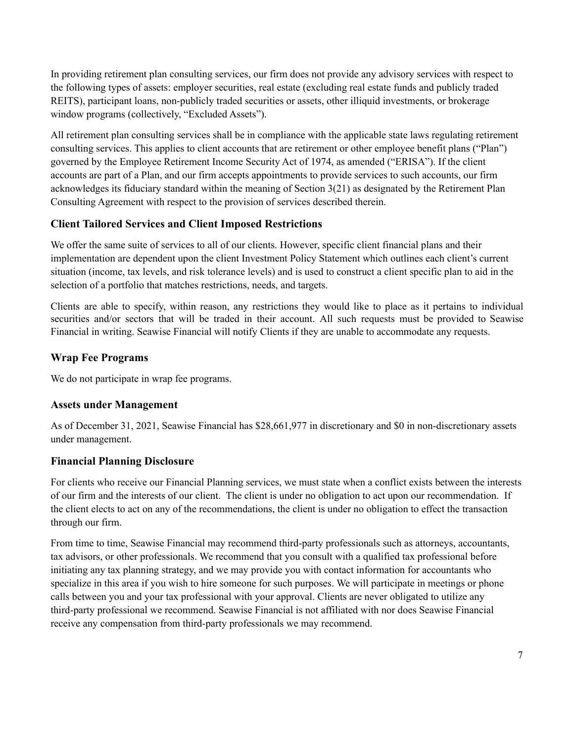In providing retirement plan consulting services, our firm does not provide any advisory services with respect to the following types of assets: employer securities, real estate (excluding real estate funds and publicly traded REITS), participant loans, non-publicly traded securities or assets, other illiquid investments, or brokerage window programs (collectively, "Excluded Assets").

All retirement plan consulting services shall be in compliance with the applicable state laws regulating retirement consulting services. This applies to client accounts that are retirement or other employee benefit plans ("Plan") governed by the Employee Retirement Income Security Act of 1974, as amended ("ERISA"). If the client accounts are part of a Plan, and our firm accepts appointments to provide services to such accounts, our firm acknowledges its fiduciary standard within the meaning of Section 3(21) as designated by the Retirement Plan Consulting Agreement with respect to the provision of services described therein.

#### **Client Tailored Services and Client Imposed Restrictions**

We offer the same suite of services to all of our clients. However, specific client financial plans and their implementation are dependent upon the client Investment Policy Statement which outlines each client's current situation (income, tax levels, and risk tolerance levels) and is used to construct a client specific plan to aid in the selection of a portfolio that matches restrictions, needs, and targets.

Clients are able to specify, within reason, any restrictions they would like to place as it pertains to individual securities and/or sectors that will be traded in their account. All such requests must be provided to Seawise Financial in writing. Seawise Financial will notify Clients if they are unable to accommodate any requests.

#### **Wrap Fee Programs**

We do not participate in wrap fee programs.

#### **Assets under Management**

As of December 31, 2021, Seawise Financial has \$28,661,977 in discretionary and \$0 in non-discretionary assets under management.

#### **Financial Planning Disclosure**

For clients who receive our Financial Planning services, we must state when a conflict exists between the interests of our firm and the interests of our client. The client is under no obligation to act upon our recommendation. If the client elects to act on any of the recommendations, the client is under no obligation to effect the transaction through our firm.

From time to time, Seawise Financial may recommend third-party professionals such as attorneys, accountants, tax advisors, or other professionals. We recommend that you consult with a qualified tax professional before initiating any tax planning strategy, and we may provide you with contact information for accountants who specialize in this area if you wish to hire someone for such purposes. We will participate in meetings or phone calls between you and your tax professional with your approval. Clients are never obligated to utilize any third-party professional we recommend. Seawise Financial is not affiliated with nor does Seawise Financial receive any compensation from third-party professionals we may recommend.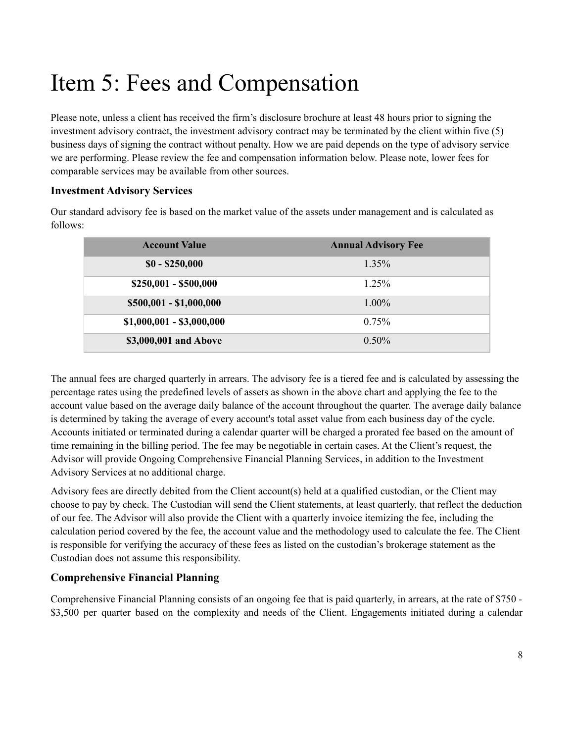## <span id="page-7-0"></span>Item 5: Fees and Compensation

Please note, unless a client has received the firm's disclosure brochure at least 48 hours prior to signing the investment advisory contract, the investment advisory contract may be terminated by the client within five (5) business days of signing the contract without penalty. How we are paid depends on the type of advisory service we are performing. Please review the fee and compensation information below. Please note, lower fees for comparable services may be available from other sources.

#### **Investment Advisory Services**

Our standard advisory fee is based on the market value of the assets under management and is calculated as follows:

| <b>Account Value</b>      | <b>Annual Advisory Fee</b> |
|---------------------------|----------------------------|
| $$0 - $250,000$           | $1.35\%$                   |
| $$250,001 - $500,000$     | 1.25%                      |
| \$500,001 - \$1,000,000   | $1.00\%$                   |
| $$1,000,001 - $3,000,000$ | 0.75%                      |
| \$3,000,001 and Above     | $0.50\%$                   |

The annual fees are charged quarterly in arrears. The advisory fee is a tiered fee and is calculated by assessing the percentage rates using the predefined levels of assets as shown in the above chart and applying the fee to the account value based on the average daily balance of the account throughout the quarter. The average daily balance is determined by taking the average of every account's total asset value from each business day of the cycle. Accounts initiated or terminated during a calendar quarter will be charged a prorated fee based on the amount of time remaining in the billing period. The fee may be negotiable in certain cases. At the Client's request, the Advisor will provide Ongoing Comprehensive Financial Planning Services, in addition to the Investment Advisory Services at no additional charge.

Advisory fees are directly debited from the Client account(s) held at a qualified custodian, or the Client may choose to pay by check. The Custodian will send the Client statements, at least quarterly, that reflect the deduction of our fee. The Advisor will also provide the Client with a quarterly invoice itemizing the fee, including the calculation period covered by the fee, the account value and the methodology used to calculate the fee. The Client is responsible for verifying the accuracy of these fees as listed on the custodian's brokerage statement as the Custodian does not assume this responsibility.

#### **Comprehensive Financial Planning**

Comprehensive Financial Planning consists of an ongoing fee that is paid quarterly, in arrears, at the rate of \$750 - \$3,500 per quarter based on the complexity and needs of the Client. Engagements initiated during a calendar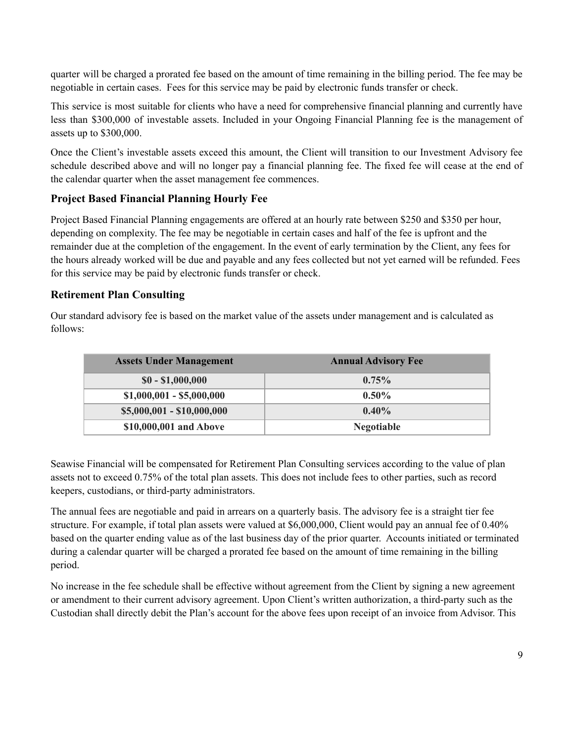quarter will be charged a prorated fee based on the amount of time remaining in the billing period. The fee may be negotiable in certain cases. Fees for this service may be paid by electronic funds transfer or check.

This service is most suitable for clients who have a need for comprehensive financial planning and currently have less than \$300,000 of investable assets. Included in your Ongoing Financial Planning fee is the management of assets up to \$300,000.

Once the Client's investable assets exceed this amount, the Client will transition to our Investment Advisory fee schedule described above and will no longer pay a financial planning fee. The fixed fee will cease at the end of the calendar quarter when the asset management fee commences.

#### **Project Based Financial Planning Hourly Fee**

Project Based Financial Planning engagements are offered at an hourly rate between \$250 and \$350 per hour, depending on complexity. The fee may be negotiable in certain cases and half of the fee is upfront and the remainder due at the completion of the engagement. In the event of early termination by the Client, any fees for the hours already worked will be due and payable and any fees collected but not yet earned will be refunded. Fees for this service may be paid by electronic funds transfer or check.

#### **Retirement Plan Consulting**

Our standard advisory fee is based on the market value of the assets under management and is calculated as follows:

| <b>Assets Under Management</b> | <b>Annual Advisory Fee</b> |
|--------------------------------|----------------------------|
| $$0 - $1,000,000$              | $0.75\%$                   |
| $$1,000,001 - $5,000,000$      | $0.50\%$                   |
| $$5,000,001 - $10,000,000$     | $0.40\%$                   |
| \$10,000,001 and Above         | <b>Negotiable</b>          |

Seawise Financial will be compensated for Retirement Plan Consulting services according to the value of plan assets not to exceed 0.75% of the total plan assets. This does not include fees to other parties, such as record keepers, custodians, or third-party administrators.

The annual fees are negotiable and paid in arrears on a quarterly basis. The advisory fee is a straight tier fee structure. For example, if total plan assets were valued at \$6,000,000, Client would pay an annual fee of 0.40% based on the quarter ending value as of the last business day of the prior quarter. Accounts initiated or terminated during a calendar quarter will be charged a prorated fee based on the amount of time remaining in the billing period.

No increase in the fee schedule shall be effective without agreement from the Client by signing a new agreement or amendment to their current advisory agreement. Upon Client's written authorization, a third-party such as the Custodian shall directly debit the Plan's account for the above fees upon receipt of an invoice from Advisor. This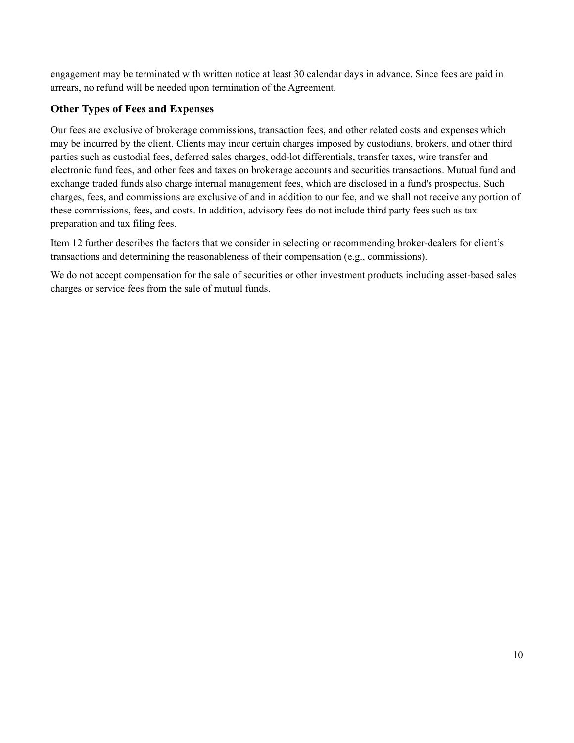engagement may be terminated with written notice at least 30 calendar days in advance. Since fees are paid in arrears, no refund will be needed upon termination of the Agreement.

#### **Other Types of Fees and Expenses**

Our fees are exclusive of brokerage commissions, transaction fees, and other related costs and expenses which may be incurred by the client. Clients may incur certain charges imposed by custodians, brokers, and other third parties such as custodial fees, deferred sales charges, odd-lot differentials, transfer taxes, wire transfer and electronic fund fees, and other fees and taxes on brokerage accounts and securities transactions. Mutual fund and exchange traded funds also charge internal management fees, which are disclosed in a fund's prospectus. Such charges, fees, and commissions are exclusive of and in addition to our fee, and we shall not receive any portion of these commissions, fees, and costs. In addition, advisory fees do not include third party fees such as tax preparation and tax filing fees.

Item 12 further describes the factors that we consider in selecting or recommending broker-dealers for client's transactions and determining the reasonableness of their compensation (e.g., commissions).

We do not accept compensation for the sale of securities or other investment products including asset-based sales charges or service fees from the sale of mutual funds.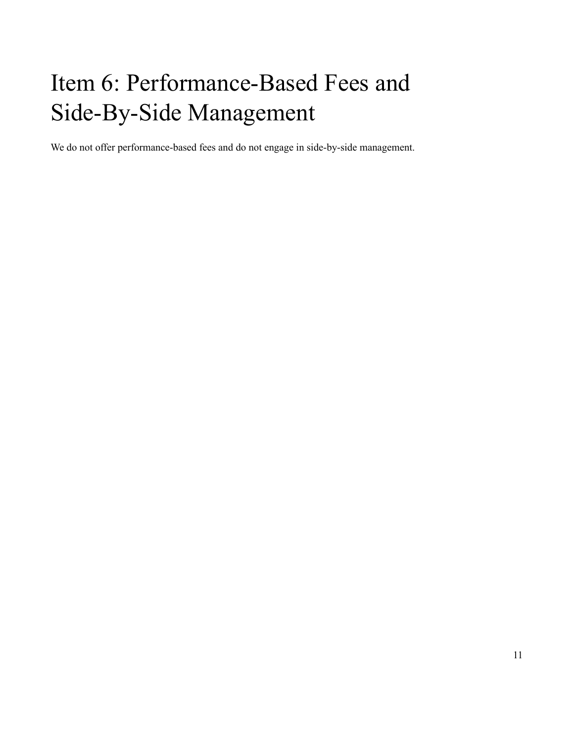## <span id="page-10-0"></span>Item 6: Performance-Based Fees and Side-By-Side Management

We do not offer performance-based fees and do not engage in side-by-side management.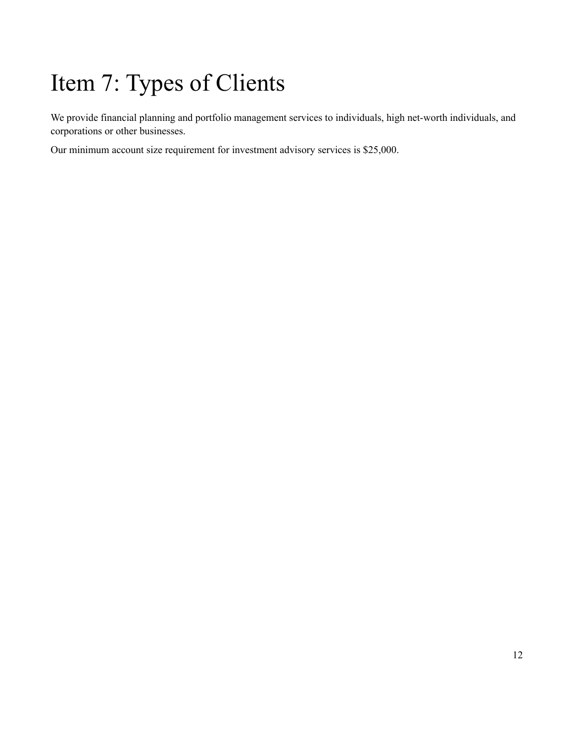# <span id="page-11-0"></span>Item 7: Types of Clients

We provide financial planning and portfolio management services to individuals, high net-worth individuals, and corporations or other businesses.

Our minimum account size requirement for investment advisory services is \$25,000.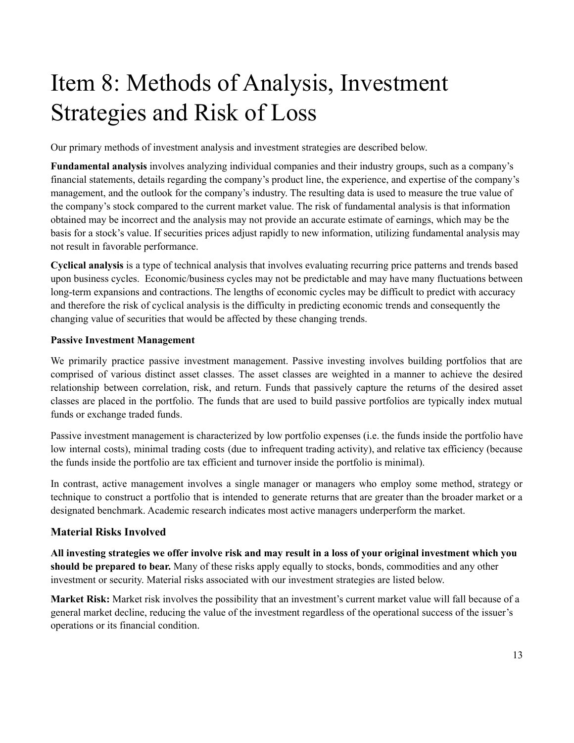## <span id="page-12-0"></span>Item 8: Methods of Analysis, Investment Strategies and Risk of Loss

Our primary methods of investment analysis and investment strategies are described below.

**Fundamental analysis** involves analyzing individual companies and their industry groups, such as a company's financial statements, details regarding the company's product line, the experience, and expertise of the company's management, and the outlook for the company's industry. The resulting data is used to measure the true value of the company's stock compared to the current market value. The risk of fundamental analysis is that information obtained may be incorrect and the analysis may not provide an accurate estimate of earnings, which may be the basis for a stock's value. If securities prices adjust rapidly to new information, utilizing fundamental analysis may not result in favorable performance.

**Cyclical analysis** is a type of technical analysis that involves evaluating recurring price patterns and trends based upon business cycles. Economic/business cycles may not be predictable and may have many fluctuations between long-term expansions and contractions. The lengths of economic cycles may be difficult to predict with accuracy and therefore the risk of cyclical analysis is the difficulty in predicting economic trends and consequently the changing value of securities that would be affected by these changing trends.

#### **Passive Investment Management**

We primarily practice passive investment management. Passive investing involves building portfolios that are comprised of various distinct asset classes. The asset classes are weighted in a manner to achieve the desired relationship between correlation, risk, and return. Funds that passively capture the returns of the desired asset classes are placed in the portfolio. The funds that are used to build passive portfolios are typically index mutual funds or exchange traded funds.

Passive investment management is characterized by low portfolio expenses (i.e. the funds inside the portfolio have low internal costs), minimal trading costs (due to infrequent trading activity), and relative tax efficiency (because the funds inside the portfolio are tax efficient and turnover inside the portfolio is minimal).

In contrast, active management involves a single manager or managers who employ some method, strategy or technique to construct a portfolio that is intended to generate returns that are greater than the broader market or a designated benchmark. Academic research indicates most active managers underperform the market.

#### **Material Risks Involved**

All investing strategies we offer involve risk and may result in a loss of your original investment which you **should be prepared to bear.** Many of these risks apply equally to stocks, bonds, commodities and any other investment or security. Material risks associated with our investment strategies are listed below.

**Market Risk:** Market risk involves the possibility that an investment's current market value will fall because of a general market decline, reducing the value of the investment regardless of the operational success of the issuer's operations or its financial condition.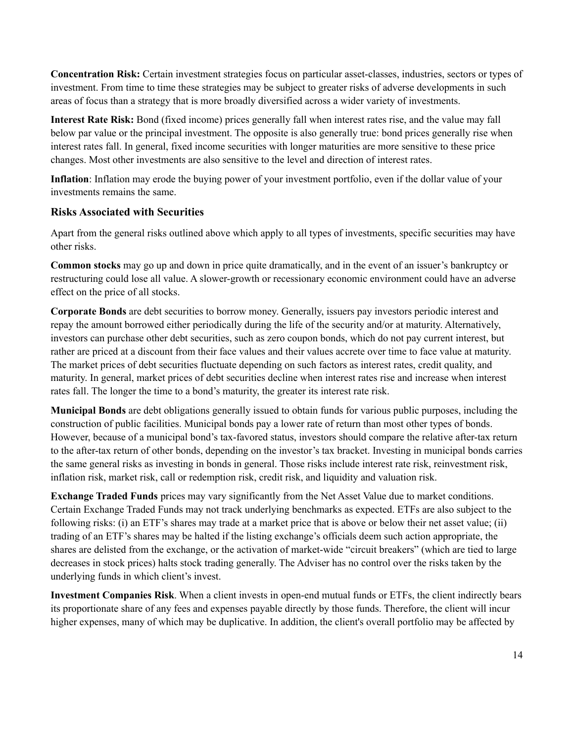**Concentration Risk:** Certain investment strategies focus on particular asset-classes, industries, sectors or types of investment. From time to time these strategies may be subject to greater risks of adverse developments in such areas of focus than a strategy that is more broadly diversified across a wider variety of investments.

**Interest Rate Risk:** Bond (fixed income) prices generally fall when interest rates rise, and the value may fall below par value or the principal investment. The opposite is also generally true: bond prices generally rise when interest rates fall. In general, fixed income securities with longer maturities are more sensitive to these price changes. Most other investments are also sensitive to the level and direction of interest rates.

**Inflation**: Inflation may erode the buying power of your investment portfolio, even if the dollar value of your investments remains the same.

#### **Risks Associated with Securities**

Apart from the general risks outlined above which apply to all types of investments, specific securities may have other risks.

**Common stocks** may go up and down in price quite dramatically, and in the event of an issuer's bankruptcy or restructuring could lose all value. A slower-growth or recessionary economic environment could have an adverse effect on the price of all stocks.

**Corporate Bonds** are debt securities to borrow money. Generally, issuers pay investors periodic interest and repay the amount borrowed either periodically during the life of the security and/or at maturity. Alternatively, investors can purchase other debt securities, such as zero coupon bonds, which do not pay current interest, but rather are priced at a discount from their face values and their values accrete over time to face value at maturity. The market prices of debt securities fluctuate depending on such factors as interest rates, credit quality, and maturity. In general, market prices of debt securities decline when interest rates rise and increase when interest rates fall. The longer the time to a bond's maturity, the greater its interest rate risk.

**Municipal Bonds** are debt obligations generally issued to obtain funds for various public purposes, including the construction of public facilities. Municipal bonds pay a lower rate of return than most other types of bonds. However, because of a municipal bond's tax-favored status, investors should compare the relative after-tax return to the after-tax return of other bonds, depending on the investor's tax bracket. Investing in municipal bonds carries the same general risks as investing in bonds in general. Those risks include interest rate risk, reinvestment risk, inflation risk, market risk, call or redemption risk, credit risk, and liquidity and valuation risk.

**Exchange Traded Funds** prices may vary significantly from the Net Asset Value due to market conditions. Certain Exchange Traded Funds may not track underlying benchmarks as expected. ETFs are also subject to the following risks: (i) an ETF's shares may trade at a market price that is above or below their net asset value; (ii) trading of an ETF's shares may be halted if the listing exchange's officials deem such action appropriate, the shares are delisted from the exchange, or the activation of market-wide "circuit breakers" (which are tied to large decreases in stock prices) halts stock trading generally. The Adviser has no control over the risks taken by the underlying funds in which client's invest.

**Investment Companies Risk**. When a client invests in open-end mutual funds or ETFs, the client indirectly bears its proportionate share of any fees and expenses payable directly by those funds. Therefore, the client will incur higher expenses, many of which may be duplicative. In addition, the client's overall portfolio may be affected by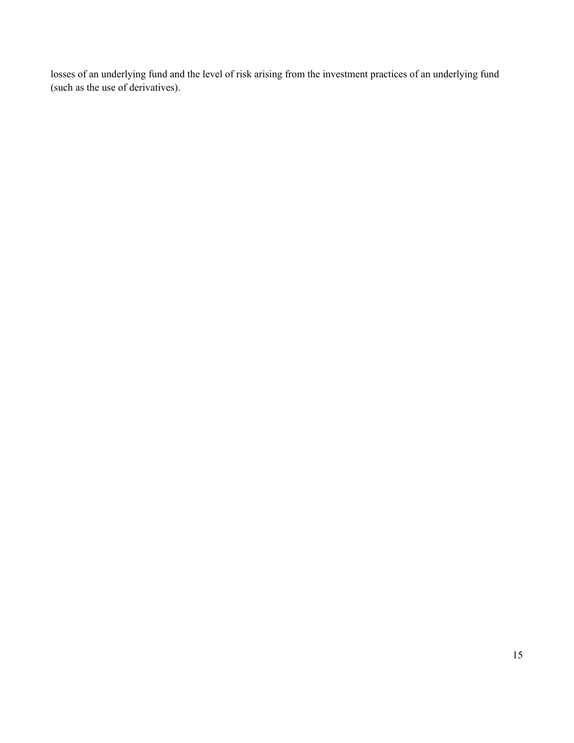losses of an underlying fund and the level of risk arising from the investment practices of an underlying fund (such as the use of derivatives).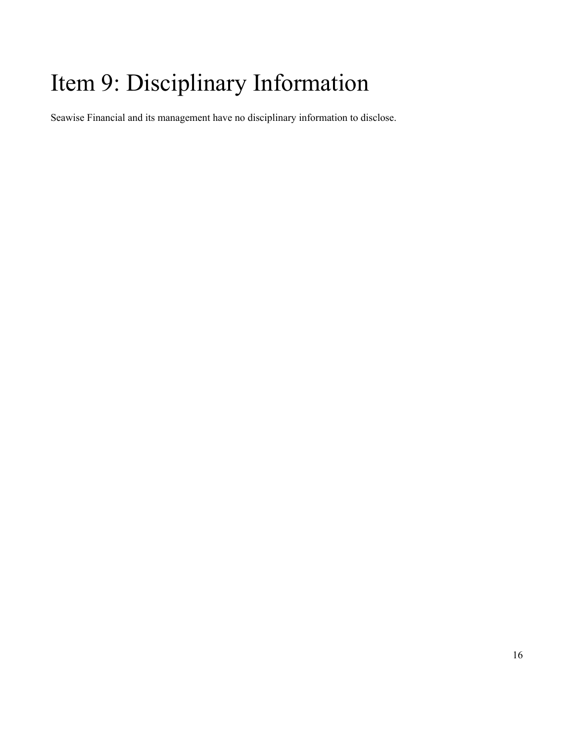## <span id="page-15-0"></span>Item 9: Disciplinary Information

Seawise Financial and its management have no disciplinary information to disclose.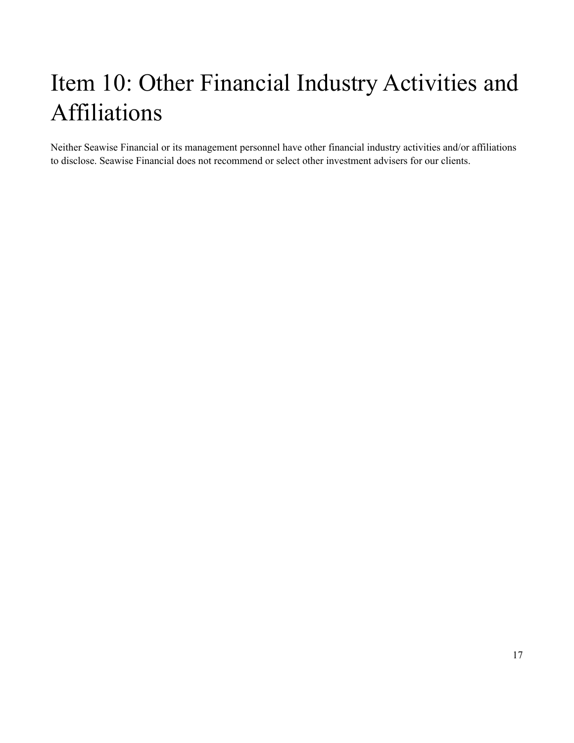# <span id="page-16-0"></span>Item 10: Other Financial Industry Activities and Affiliations

Neither Seawise Financial or its management personnel have other financial industry activities and/or affiliations to disclose. Seawise Financial does not recommend or select other investment advisers for our clients.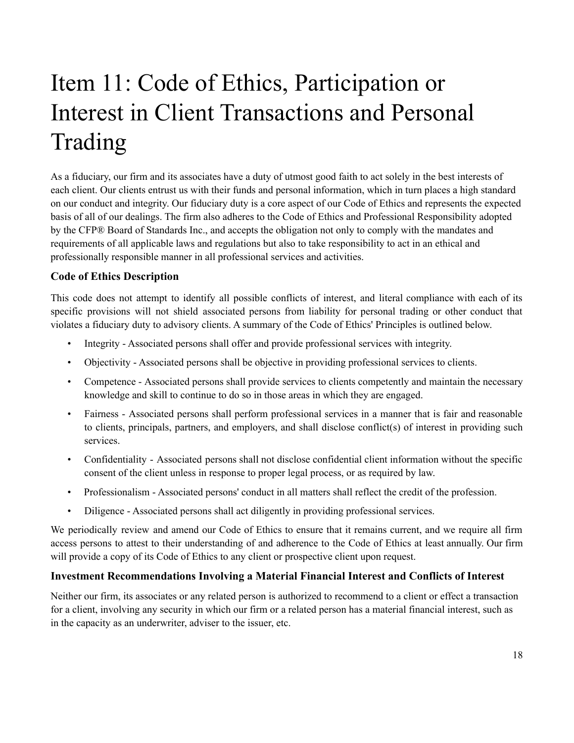## Item 11: Code of Ethics, Participation or Interest in Client Transactions and Personal Trading

<span id="page-17-0"></span>As a fiduciary, our firm and its associates have a duty of utmost good faith to act solely in the best interests of each client. Our clients entrust us with their funds and personal information, which in turn places a high standard on our conduct and integrity. Our fiduciary duty is a core aspect of our Code of Ethics and represents the expected basis of all of our dealings. The firm also adheres to the Code of Ethics and Professional Responsibility adopted by the CFP® Board of Standards Inc., and accepts the obligation not only to comply with the mandates and requirements of all applicable laws and regulations but also to take responsibility to act in an ethical and professionally responsible manner in all professional services and activities.

#### **Code of Ethics Description**

This code does not attempt to identify all possible conflicts of interest, and literal compliance with each of its specific provisions will not shield associated persons from liability for personal trading or other conduct that violates a fiduciary duty to advisory clients. A summary of the Code of Ethics' Principles is outlined below.

- Integrity Associated persons shall offer and provide professional services with integrity.
- Objectivity Associated persons shall be objective in providing professional services to clients.
- Competence Associated persons shall provide services to clients competently and maintain the necessary knowledge and skill to continue to do so in those areas in which they are engaged.
- Fairness Associated persons shall perform professional services in a manner that is fair and reasonable to clients, principals, partners, and employers, and shall disclose conflict(s) of interest in providing such services.
- Confidentiality Associated persons shall not disclose confidential client information without the specific consent of the client unless in response to proper legal process, or as required by law.
- Professionalism Associated persons' conduct in all matters shall reflect the credit of the profession.
- Diligence Associated persons shall act diligently in providing professional services.

We periodically review and amend our Code of Ethics to ensure that it remains current, and we require all firm access persons to attest to their understanding of and adherence to the Code of Ethics at least annually. Our firm will provide a copy of its Code of Ethics to any client or prospective client upon request.

#### **Investment Recommendations Involving a Material Financial Interest and Conflicts of Interest**

Neither our firm, its associates or any related person is authorized to recommend to a client or effect a transaction for a client, involving any security in which our firm or a related person has a material financial interest, such as in the capacity as an underwriter, adviser to the issuer, etc.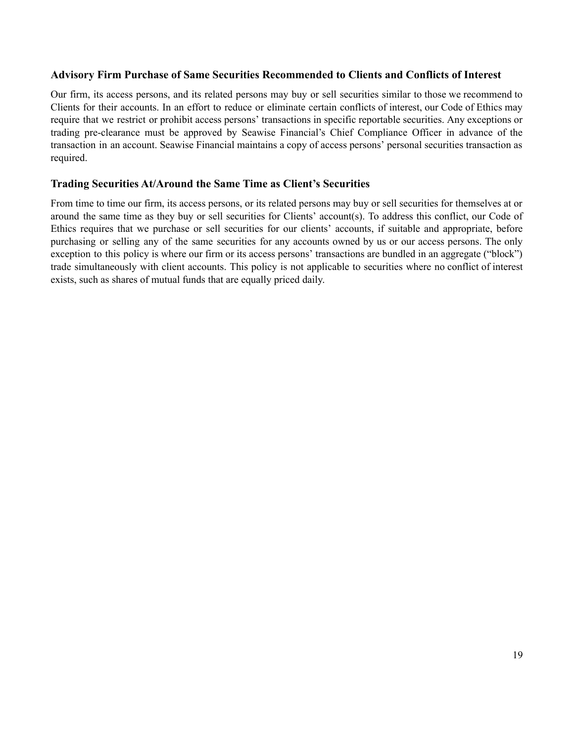#### **Advisory Firm Purchase of Same Securities Recommended to Clients and Conflicts of Interest**

Our firm, its access persons, and its related persons may buy or sell securities similar to those we recommend to Clients for their accounts. In an effort to reduce or eliminate certain conflicts of interest, our Code of Ethics may require that we restrict or prohibit access persons' transactions in specific reportable securities. Any exceptions or trading pre-clearance must be approved by Seawise Financial's Chief Compliance Officer in advance of the transaction in an account. Seawise Financial maintains a copy of access persons' personal securities transaction as required.

#### **Trading Securities At/Around the Same Time as Client's Securities**

From time to time our firm, its access persons, or its related persons may buy or sell securities for themselves at or around the same time as they buy or sell securities for Clients' account(s). To address this conflict, our Code of Ethics requires that we purchase or sell securities for our clients' accounts, if suitable and appropriate, before purchasing or selling any of the same securities for any accounts owned by us or our access persons. The only exception to this policy is where our firm or its access persons' transactions are bundled in an aggregate ("block") trade simultaneously with client accounts. This policy is not applicable to securities where no conflict of interest exists, such as shares of mutual funds that are equally priced daily.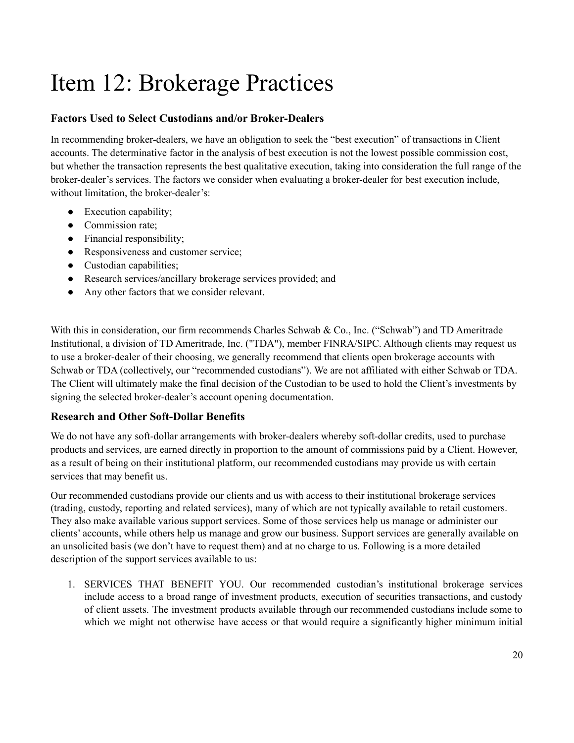### <span id="page-19-0"></span>Item 12: Brokerage Practices

#### **Factors Used to Select Custodians and/or Broker-Dealers**

In recommending broker-dealers, we have an obligation to seek the "best execution" of transactions in Client accounts. The determinative factor in the analysis of best execution is not the lowest possible commission cost, but whether the transaction represents the best qualitative execution, taking into consideration the full range of the broker-dealer's services. The factors we consider when evaluating a broker-dealer for best execution include, without limitation, the broker-dealer's:

- Execution capability;
- Commission rate;
- Financial responsibility;
- Responsiveness and customer service;
- Custodian capabilities;
- Research services/ancillary brokerage services provided; and
- Any other factors that we consider relevant.

With this in consideration, our firm recommends Charles Schwab & Co., Inc. ("Schwab") and TD Ameritrade Institutional, a division of TD Ameritrade, Inc. ("TDA"), member FINRA/SIPC. Although clients may request us to use a broker-dealer of their choosing, we generally recommend that clients open brokerage accounts with Schwab or TDA (collectively, our "recommended custodians"). We are not affiliated with either Schwab or TDA. The Client will ultimately make the final decision of the Custodian to be used to hold the Client's investments by signing the selected broker-dealer's account opening documentation.

#### **Research and Other Soft-Dollar Benefits**

We do not have any soft-dollar arrangements with broker-dealers whereby soft-dollar credits, used to purchase products and services, are earned directly in proportion to the amount of commissions paid by a Client. However, as a result of being on their institutional platform, our recommended custodians may provide us with certain services that may benefit us.

Our recommended custodians provide our clients and us with access to their institutional brokerage services (trading, custody, reporting and related services), many of which are not typically available to retail customers. They also make available various support services. Some of those services help us manage or administer our clients' accounts, while others help us manage and grow our business. Support services are generally available on an unsolicited basis (we don't have to request them) and at no charge to us. Following is a more detailed description of the support services available to us:

1. SERVICES THAT BENEFIT YOU. Our recommended custodian's institutional brokerage services include access to a broad range of investment products, execution of securities transactions, and custody of client assets. The investment products available through our recommended custodians include some to which we might not otherwise have access or that would require a significantly higher minimum initial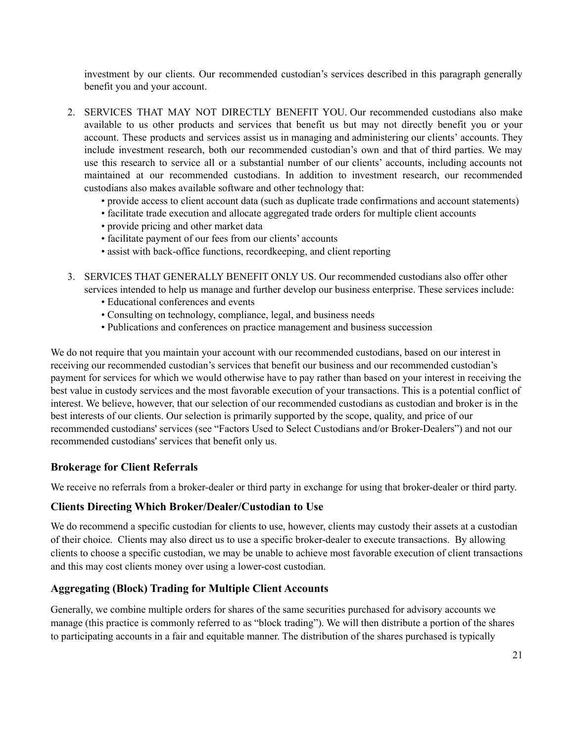investment by our clients. Our recommended custodian's services described in this paragraph generally benefit you and your account.

- 2. SERVICES THAT MAY NOT DIRECTLY BENEFIT YOU. Our recommended custodians also make available to us other products and services that benefit us but may not directly benefit you or your account. These products and services assist us in managing and administering our clients' accounts. They include investment research, both our recommended custodian's own and that of third parties. We may use this research to service all or a substantial number of our clients' accounts, including accounts not maintained at our recommended custodians. In addition to investment research, our recommended custodians also makes available software and other technology that:
	- provide access to client account data (such as duplicate trade confirmations and account statements)
	- facilitate trade execution and allocate aggregated trade orders for multiple client accounts
	- provide pricing and other market data
	- facilitate payment of our fees from our clients' accounts
	- assist with back-office functions, recordkeeping, and client reporting
- 3. SERVICES THAT GENERALLY BENEFIT ONLY US. Our recommended custodians also offer other services intended to help us manage and further develop our business enterprise. These services include:
	- Educational conferences and events
	- Consulting on technology, compliance, legal, and business needs
	- Publications and conferences on practice management and business succession

We do not require that you maintain your account with our recommended custodians, based on our interest in receiving our recommended custodian's services that benefit our business and our recommended custodian's payment for services for which we would otherwise have to pay rather than based on your interest in receiving the best value in custody services and the most favorable execution of your transactions. This is a potential conflict of interest. We believe, however, that our selection of our recommended custodians as custodian and broker is in the best interests of our clients. Our selection is primarily supported by the scope, quality, and price of our recommended custodians' services (see "Factors Used to Select Custodians and/or Broker-Dealers") and not our recommended custodians' services that benefit only us.

#### **Brokerage for Client Referrals**

We receive no referrals from a broker-dealer or third party in exchange for using that broker-dealer or third party.

#### **Clients Directing Which Broker/Dealer/Custodian to Use**

We do recommend a specific custodian for clients to use, however, clients may custody their assets at a custodian of their choice. Clients may also direct us to use a specific broker-dealer to execute transactions. By allowing clients to choose a specific custodian, we may be unable to achieve most favorable execution of client transactions and this may cost clients money over using a lower-cost custodian.

#### **Aggregating (Block) Trading for Multiple Client Accounts**

Generally, we combine multiple orders for shares of the same securities purchased for advisory accounts we manage (this practice is commonly referred to as "block trading"). We will then distribute a portion of the shares to participating accounts in a fair and equitable manner. The distribution of the shares purchased is typically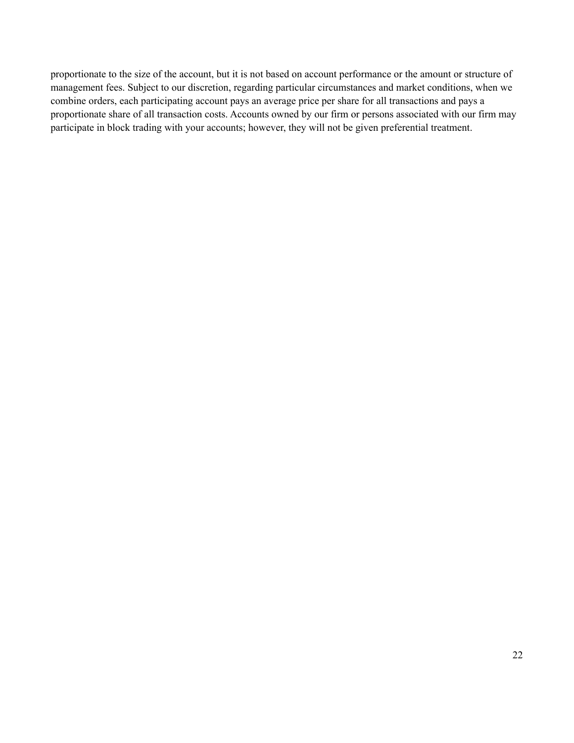proportionate to the size of the account, but it is not based on account performance or the amount or structure of management fees. Subject to our discretion, regarding particular circumstances and market conditions, when we combine orders, each participating account pays an average price per share for all transactions and pays a proportionate share of all transaction costs. Accounts owned by our firm or persons associated with our firm may participate in block trading with your accounts; however, they will not be given preferential treatment.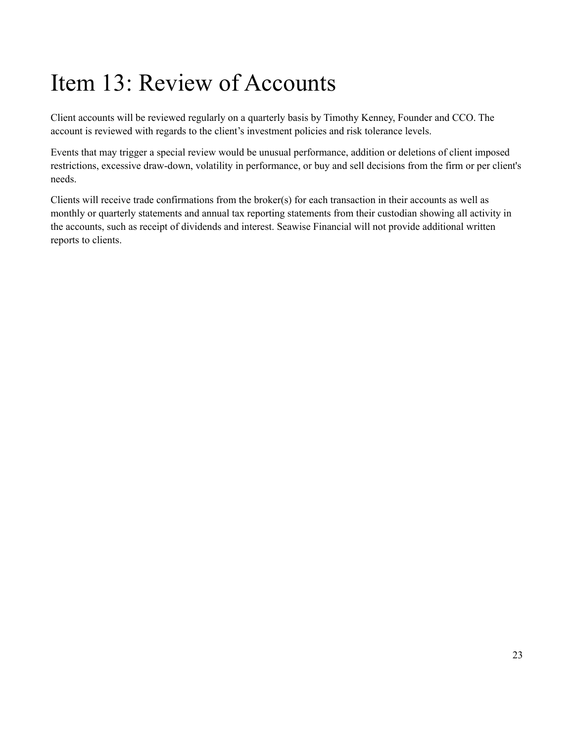### <span id="page-22-0"></span>Item 13: Review of Accounts

Client accounts will be reviewed regularly on a quarterly basis by Timothy Kenney, Founder and CCO. The account is reviewed with regards to the client's investment policies and risk tolerance levels.

Events that may trigger a special review would be unusual performance, addition or deletions of client imposed restrictions, excessive draw-down, volatility in performance, or buy and sell decisions from the firm or per client's needs.

Clients will receive trade confirmations from the broker(s) for each transaction in their accounts as well as monthly or quarterly statements and annual tax reporting statements from their custodian showing all activity in the accounts, such as receipt of dividends and interest. Seawise Financial will not provide additional written reports to clients.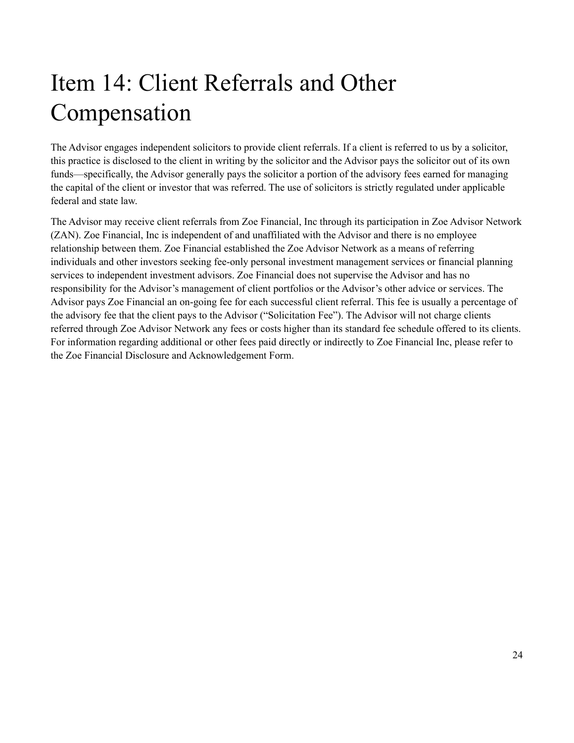## <span id="page-23-0"></span>Item 14: Client Referrals and Other Compensation

The Advisor engages independent solicitors to provide client referrals. If a client is referred to us by a solicitor, this practice is disclosed to the client in writing by the solicitor and the Advisor pays the solicitor out of its own funds—specifically, the Advisor generally pays the solicitor a portion of the advisory fees earned for managing the capital of the client or investor that was referred. The use of solicitors is strictly regulated under applicable federal and state law.

The Advisor may receive client referrals from Zoe Financial, Inc through its participation in Zoe Advisor Network (ZAN). Zoe Financial, Inc is independent of and unaffiliated with the Advisor and there is no employee relationship between them. Zoe Financial established the Zoe Advisor Network as a means of referring individuals and other investors seeking fee-only personal investment management services or financial planning services to independent investment advisors. Zoe Financial does not supervise the Advisor and has no responsibility for the Advisor's management of client portfolios or the Advisor's other advice or services. The Advisor pays Zoe Financial an on-going fee for each successful client referral. This fee is usually a percentage of the advisory fee that the client pays to the Advisor ("Solicitation Fee"). The Advisor will not charge clients referred through Zoe Advisor Network any fees or costs higher than its standard fee schedule offered to its clients. For information regarding additional or other fees paid directly or indirectly to Zoe Financial Inc, please refer to the Zoe Financial Disclosure and Acknowledgement Form.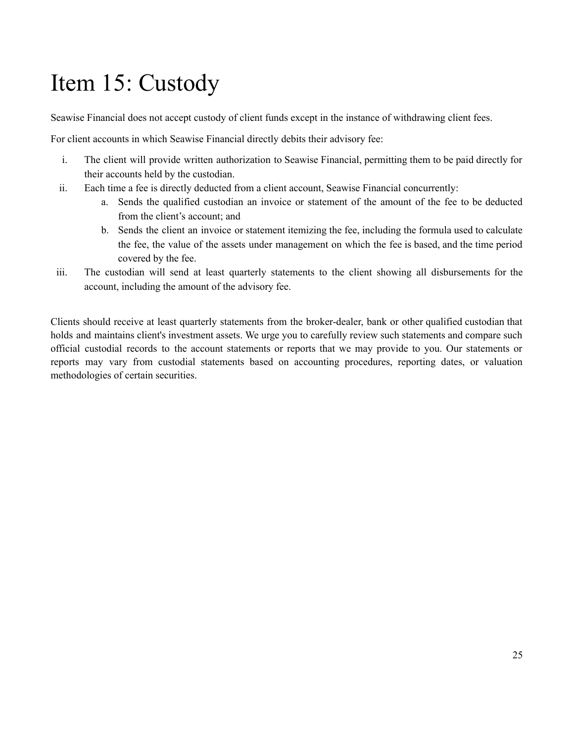## <span id="page-24-0"></span>Item 15: Custody

Seawise Financial does not accept custody of client funds except in the instance of withdrawing client fees.

For client accounts in which Seawise Financial directly debits their advisory fee:

- i. The client will provide written authorization to Seawise Financial, permitting them to be paid directly for their accounts held by the custodian.
- ii. Each time a fee is directly deducted from a client account, Seawise Financial concurrently:
	- a. Sends the qualified custodian an invoice or statement of the amount of the fee to be deducted from the client's account; and
	- b. Sends the client an invoice or statement itemizing the fee, including the formula used to calculate the fee, the value of the assets under management on which the fee is based, and the time period covered by the fee.
- iii. The custodian will send at least quarterly statements to the client showing all disbursements for the account, including the amount of the advisory fee.

Clients should receive at least quarterly statements from the broker-dealer, bank or other qualified custodian that holds and maintains client's investment assets. We urge you to carefully review such statements and compare such official custodial records to the account statements or reports that we may provide to you. Our statements or reports may vary from custodial statements based on accounting procedures, reporting dates, or valuation methodologies of certain securities.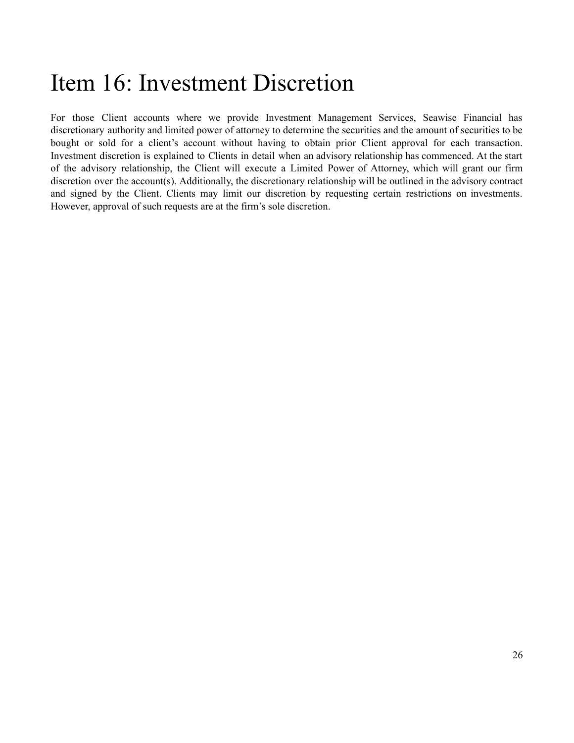### <span id="page-25-0"></span>Item 16: Investment Discretion

For those Client accounts where we provide Investment Management Services, Seawise Financial has discretionary authority and limited power of attorney to determine the securities and the amount of securities to be bought or sold for a client's account without having to obtain prior Client approval for each transaction. Investment discretion is explained to Clients in detail when an advisory relationship has commenced. At the start of the advisory relationship, the Client will execute a Limited Power of Attorney, which will grant our firm discretion over the account(s). Additionally, the discretionary relationship will be outlined in the advisory contract and signed by the Client. Clients may limit our discretion by requesting certain restrictions on investments. However, approval of such requests are at the firm's sole discretion.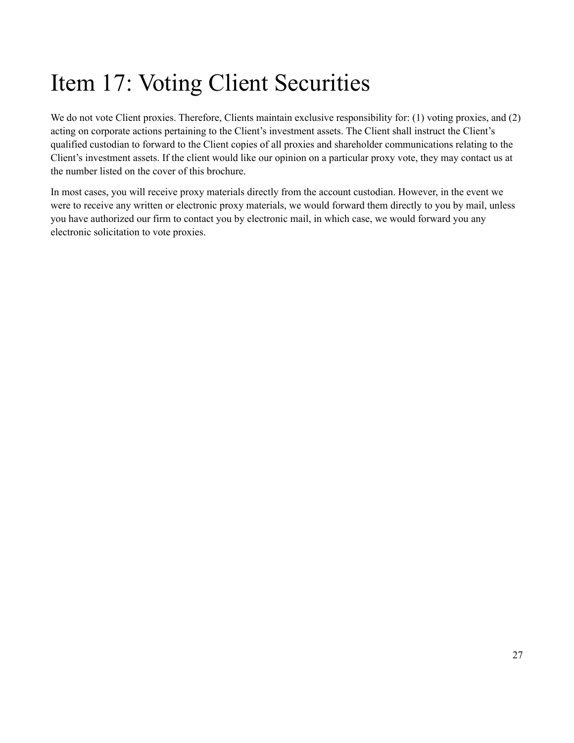## <span id="page-26-0"></span>Item 17: Voting Client Securities

We do not vote Client proxies. Therefore, Clients maintain exclusive responsibility for: (1) voting proxies, and (2) acting on corporate actions pertaining to the Client's investment assets. The Client shall instruct the Client's qualified custodian to forward to the Client copies of all proxies and shareholder communications relating to the Client's investment assets. If the client would like our opinion on a particular proxy vote, they may contact us at the number listed on the cover of this brochure.

In most cases, you will receive proxy materials directly from the account custodian. However, in the event we were to receive any written or electronic proxy materials, we would forward them directly to you by mail, unless you have authorized our firm to contact you by electronic mail, in which case, we would forward you any electronic solicitation to vote proxies.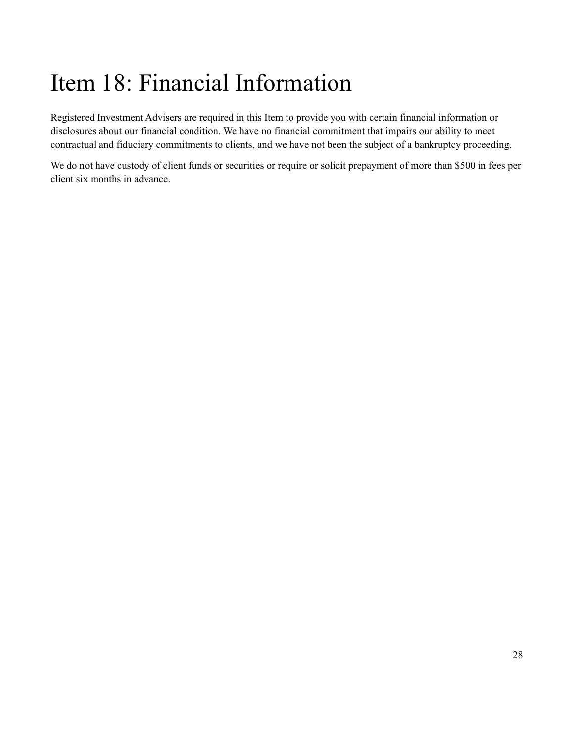## <span id="page-27-0"></span>Item 18: Financial Information

Registered Investment Advisers are required in this Item to provide you with certain financial information or disclosures about our financial condition. We have no financial commitment that impairs our ability to meet contractual and fiduciary commitments to clients, and we have not been the subject of a bankruptcy proceeding.

We do not have custody of client funds or securities or require or solicit prepayment of more than \$500 in fees per client six months in advance.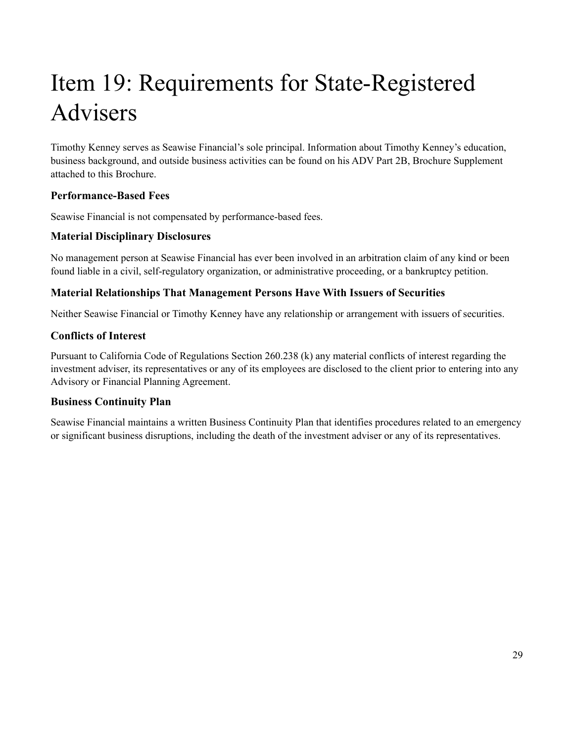# <span id="page-28-0"></span>Item 19: Requirements for State-Registered Advisers

Timothy Kenney serves as Seawise Financial's sole principal. Information about Timothy Kenney's education, business background, and outside business activities can be found on his ADV Part 2B, Brochure Supplement attached to this Brochure.

#### **Performance-Based Fees**

Seawise Financial is not compensated by performance-based fees.

#### **Material Disciplinary Disclosures**

No management person at Seawise Financial has ever been involved in an arbitration claim of any kind or been found liable in a civil, self-regulatory organization, or administrative proceeding, or a bankruptcy petition.

#### **Material Relationships That Management Persons Have With Issuers of Securities**

Neither Seawise Financial or Timothy Kenney have any relationship or arrangement with issuers of securities.

#### **Conflicts of Interest**

Pursuant to California Code of Regulations Section 260.238 (k) any material conflicts of interest regarding the investment adviser, its representatives or any of its employees are disclosed to the client prior to entering into any Advisory or Financial Planning Agreement.

#### **Business Continuity Plan**

Seawise Financial maintains a written Business Continuity Plan that identifies procedures related to an emergency or significant business disruptions, including the death of the investment adviser or any of its representatives.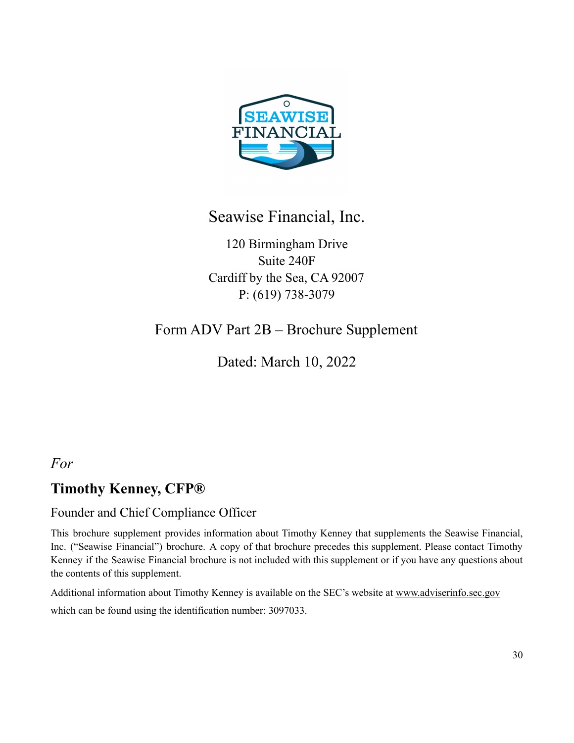

### Seawise Financial, Inc.

120 Birmingham Drive Suite 240F Cardiff by the Sea, CA 92007 P: (619) 738-3079

### <span id="page-29-0"></span>Form ADV Part 2B – Brochure Supplement

Dated: March 10, 2022

### *For*

### **Timothy Kenney, CFP®**

#### Founder and Chief Compliance Officer

This brochure supplement provides information about Timothy Kenney that supplements the Seawise Financial, Inc. ("Seawise Financial") brochure. A copy of that brochure precedes this supplement. Please contact Timothy Kenney if the Seawise Financial brochure is not included with this supplement or if you have any questions about the contents of this supplement.

Additional information about Timothy Kenney is available on the SEC's website at [www.adviserinfo.sec.gov](http://www.adviserinfo.sec.gov) which can be found using the identification number: 3097033.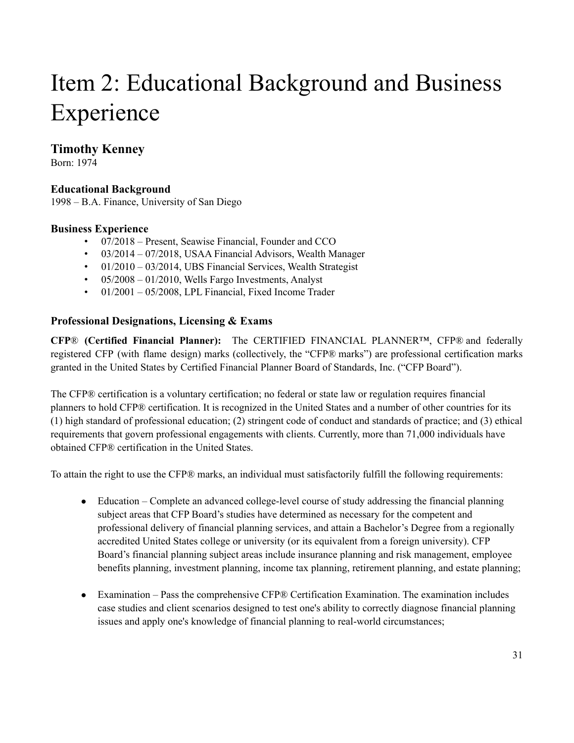### Item 2: Educational Background and Business Experience

#### **Timothy Kenney**

Born: 1974

#### **Educational Background**

1998 – B.A. Finance, University of San Diego

#### **Business Experience**

- 07/2018 Present, Seawise Financial, Founder and CCO
- 03/2014 07/2018, USAA Financial Advisors, Wealth Manager
- 01/2010 03/2014, UBS Financial Services, Wealth Strategist
- $\cdot$  05/2008 01/2010, Wells Fargo Investments, Analyst
- $\cdot$  01/2001 05/2008, LPL Financial, Fixed Income Trader

#### **Professional Designations, Licensing & Exams**

**CFP**® **(Certified Financial Planner):** The CERTIFIED FINANCIAL PLANNER™, CFP® and federally registered CFP (with flame design) marks (collectively, the "CFP® marks") are professional certification marks granted in the United States by Certified Financial Planner Board of Standards, Inc. ("CFP Board").

The CFP® certification is a voluntary certification; no federal or state law or regulation requires financial planners to hold CFP® certification. It is recognized in the United States and a number of other countries for its (1) high standard of professional education; (2) stringent code of conduct and standards of practice; and (3) ethical requirements that govern professional engagements with clients. Currently, more than 71,000 individuals have obtained CFP® certification in the United States.

To attain the right to use the CFP® marks, an individual must satisfactorily fulfill the following requirements:

- Education Complete an advanced college-level course of study addressing the financial planning subject areas that CFP Board's studies have determined as necessary for the competent and professional delivery of financial planning services, and attain a Bachelor's Degree from a regionally accredited United States college or university (or its equivalent from a foreign university). CFP Board's financial planning subject areas include insurance planning and risk management, employee benefits planning, investment planning, income tax planning, retirement planning, and estate planning;
- Examination Pass the comprehensive CFP® Certification Examination. The examination includes case studies and client scenarios designed to test one's ability to correctly diagnose financial planning issues and apply one's knowledge of financial planning to real-world circumstances;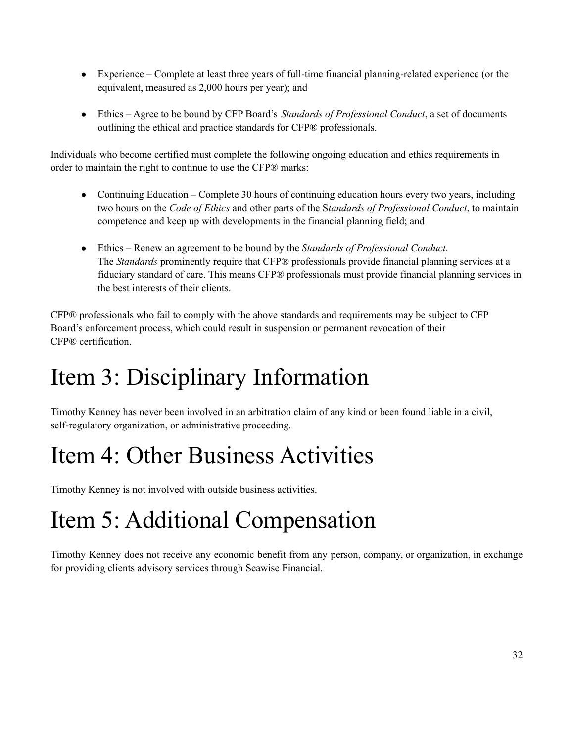- Experience Complete at least three years of full-time financial planning-related experience (or the equivalent, measured as 2,000 hours per year); and
- Ethics Agree to be bound by CFP Board's *Standards of Professional Conduct*, a set of documents outlining the ethical and practice standards for CFP® professionals.

Individuals who become certified must complete the following ongoing education and ethics requirements in order to maintain the right to continue to use the CFP® marks:

- Continuing Education Complete 30 hours of continuing education hours every two years, including two hours on the *Code of Ethics* and other parts of the S*tandards of Professional Conduct*, to maintain competence and keep up with developments in the financial planning field; and
- Ethics Renew an agreement to be bound by the *Standards of Professional Conduct*. The *Standards* prominently require that CFP® professionals provide financial planning services at a fiduciary standard of care. This means CFP® professionals must provide financial planning services in the best interests of their clients.

CFP® professionals who fail to comply with the above standards and requirements may be subject to CFP Board's enforcement process, which could result in suspension or permanent revocation of their CFP® certification.

### Item 3: Disciplinary Information

Timothy Kenney has never been involved in an arbitration claim of any kind or been found liable in a civil, self-regulatory organization, or administrative proceeding.

## Item 4: Other Business Activities

Timothy Kenney is not involved with outside business activities.

## Item 5: Additional Compensation

Timothy Kenney does not receive any economic benefit from any person, company, or organization, in exchange for providing clients advisory services through Seawise Financial.